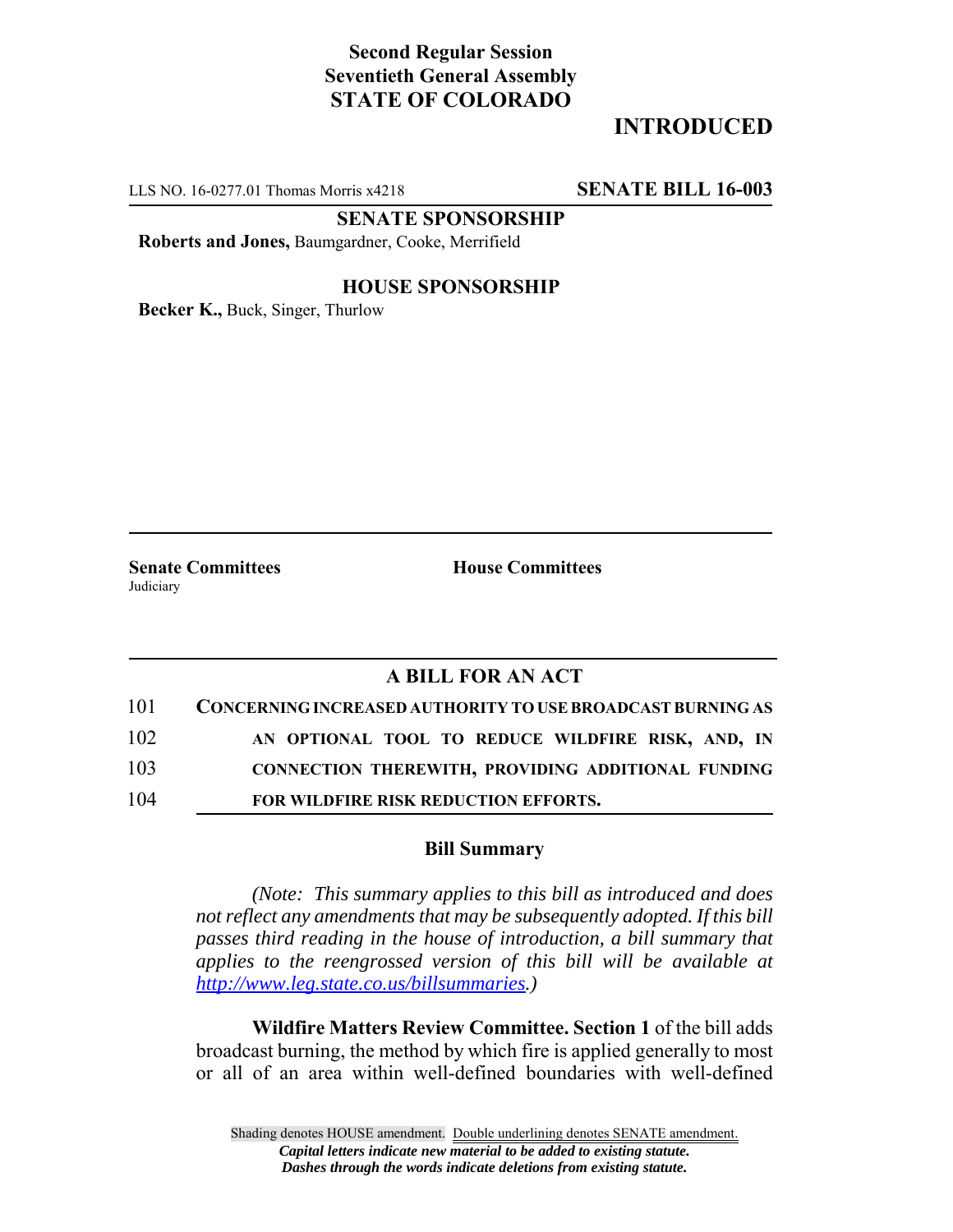# **Second Regular Session Seventieth General Assembly STATE OF COLORADO**

# **INTRODUCED**

LLS NO. 16-0277.01 Thomas Morris x4218 **SENATE BILL 16-003**

**SENATE SPONSORSHIP**

**Roberts and Jones,** Baumgardner, Cooke, Merrifield

### **HOUSE SPONSORSHIP**

**Becker K.,** Buck, Singer, Thurlow

**Judiciary** 

**Senate Committees House Committees** 

### **A BILL FOR AN ACT**

| 101 | CONCERNING INCREASED AUTHORITY TO USE BROADCAST BURNING AS |
|-----|------------------------------------------------------------|
| 102 | AN OPTIONAL TOOL TO REDUCE WILDFIRE RISK, AND, IN          |
| 103 | CONNECTION THEREWITH, PROVIDING ADDITIONAL FUNDING         |
| 104 | FOR WILDFIRE RISK REDUCTION EFFORTS.                       |

#### **Bill Summary**

*(Note: This summary applies to this bill as introduced and does not reflect any amendments that may be subsequently adopted. If this bill passes third reading in the house of introduction, a bill summary that applies to the reengrossed version of this bill will be available at http://www.leg.state.co.us/billsummaries.)*

**Wildfire Matters Review Committee. Section 1** of the bill adds broadcast burning, the method by which fire is applied generally to most or all of an area within well-defined boundaries with well-defined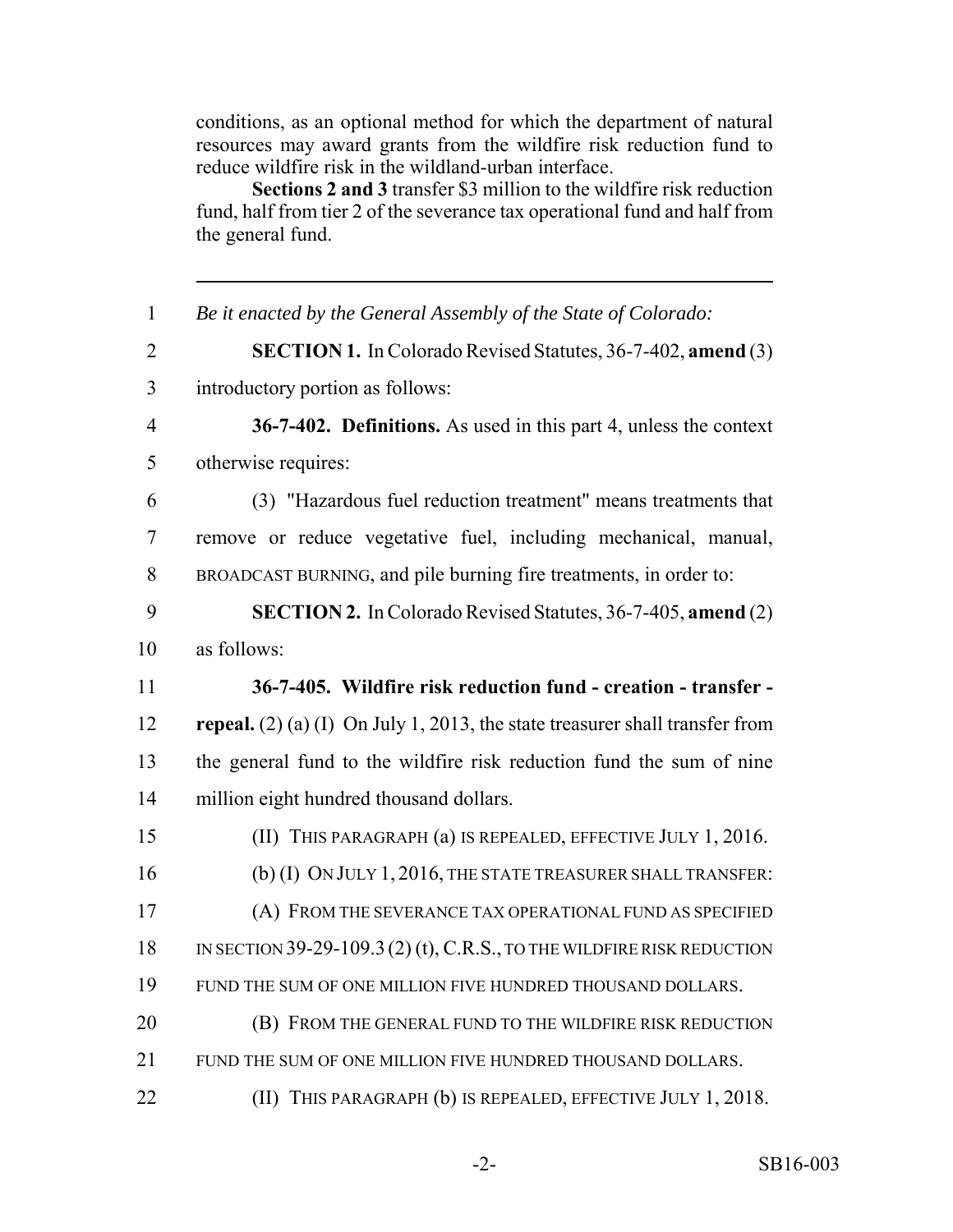conditions, as an optional method for which the department of natural resources may award grants from the wildfire risk reduction fund to reduce wildfire risk in the wildland-urban interface.

**Sections 2 and 3** transfer \$3 million to the wildfire risk reduction fund, half from tier 2 of the severance tax operational fund and half from the general fund.

| $\mathbf{1}$   | Be it enacted by the General Assembly of the State of Colorado:                     |
|----------------|-------------------------------------------------------------------------------------|
| $\overline{2}$ | <b>SECTION 1.</b> In Colorado Revised Statutes, 36-7-402, amend (3)                 |
| $\overline{3}$ | introductory portion as follows:                                                    |
| $\overline{4}$ | 36-7-402. Definitions. As used in this part 4, unless the context                   |
| 5              | otherwise requires:                                                                 |
| 6              | (3) "Hazardous fuel reduction treatment" means treatments that                      |
| $\overline{7}$ | remove or reduce vegetative fuel, including mechanical, manual,                     |
| 8              | BROADCAST BURNING, and pile burning fire treatments, in order to:                   |
| 9              | <b>SECTION 2.</b> In Colorado Revised Statutes, 36-7-405, amend (2)                 |
| 10             | as follows:                                                                         |
| 11             | 36-7-405. Wildfire risk reduction fund - creation - transfer -                      |
| 12             | <b>repeal.</b> (2) (a) (I) On July 1, 2013, the state treasurer shall transfer from |
| 13             | the general fund to the wildfire risk reduction fund the sum of nine                |
| 14             | million eight hundred thousand dollars.                                             |
| 15             | (II) THIS PARAGRAPH (a) IS REPEALED, EFFECTIVE JULY 1, 2016.                        |
| 16             | (b) (I) ON JULY 1, 2016, THE STATE TREASURER SHALL TRANSFER:                        |
| 17             | (A) FROM THE SEVERANCE TAX OPERATIONAL FUND AS SPECIFIED                            |
| 18             | IN SECTION 39-29-109.3 (2) (t), C.R.S., TO THE WILDFIRE RISK REDUCTION              |
| 19             | FUND THE SUM OF ONE MILLION FIVE HUNDRED THOUSAND DOLLARS.                          |
| 20             | (B) FROM THE GENERAL FUND TO THE WILDFIRE RISK REDUCTION                            |
| 21             | FUND THE SUM OF ONE MILLION FIVE HUNDRED THOUSAND DOLLARS.                          |
| 22             | (II) THIS PARAGRAPH (b) IS REPEALED, EFFECTIVE JULY 1, 2018.                        |